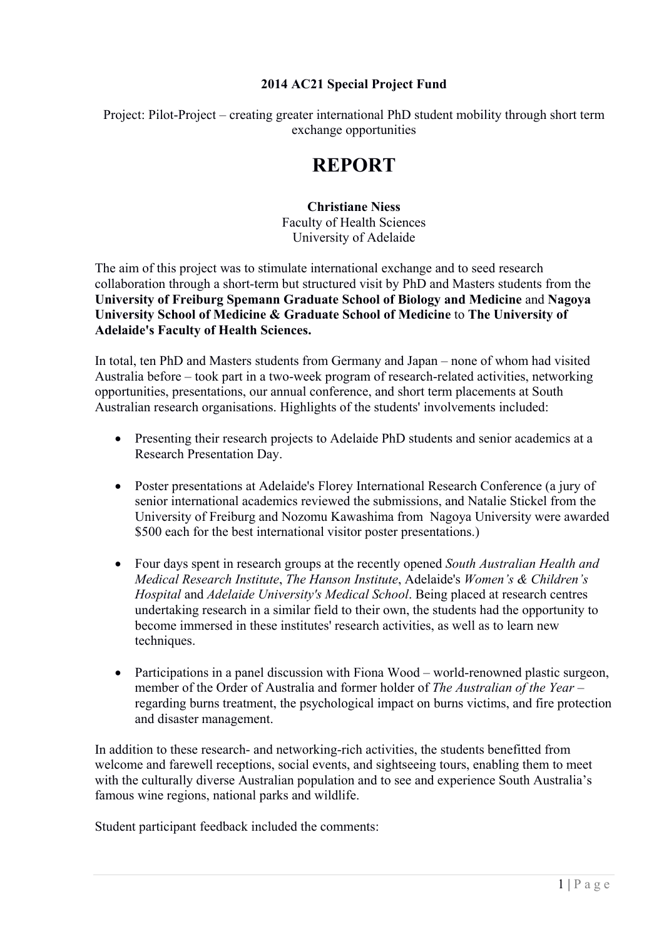### **2014 AC21 Special Project Fund**

Project: Pilot-Project – creating greater international PhD student mobility through short term exchange opportunities

# **REPORT**

#### **Christiane Niess**  Faculty of Health Sciences University of Adelaide

The aim of this project was to stimulate international exchange and to seed research collaboration through a short-term but structured visit by PhD and Masters students from the **University of Freiburg Spemann Graduate School of Biology and Medicine** and **Nagoya University School of Medicine & Graduate School of Medicine** to **The University of Adelaide's Faculty of Health Sciences.** 

In total, ten PhD and Masters students from Germany and Japan – none of whom had visited Australia before – took part in a two-week program of research-related activities, networking opportunities, presentations, our annual conference, and short term placements at South Australian research organisations. Highlights of the students' involvements included:

- Presenting their research projects to Adelaide PhD students and senior academics at a Research Presentation Day.
- Poster presentations at Adelaide's Florey International Research Conference (a jury of senior international academics reviewed the submissions, and Natalie Stickel from the University of Freiburg and Nozomu Kawashima from Nagoya University were awarded \$500 each for the best international visitor poster presentations.)
- Four days spent in research groups at the recently opened *South Australian Health and Medical Research Institute*, *The Hanson Institute*, Adelaide's *Women's & Children's Hospital* and *Adelaide University's Medical School*. Being placed at research centres undertaking research in a similar field to their own, the students had the opportunity to become immersed in these institutes' research activities, as well as to learn new techniques.
- Participations in a panel discussion with Fiona Wood world-renowned plastic surgeon, member of the Order of Australia and former holder of *The Australian of the Year* – regarding burns treatment, the psychological impact on burns victims, and fire protection and disaster management.

In addition to these research- and networking-rich activities, the students benefitted from welcome and farewell receptions, social events, and sightseeing tours, enabling them to meet with the culturally diverse Australian population and to see and experience South Australia's famous wine regions, national parks and wildlife.

Student participant feedback included the comments: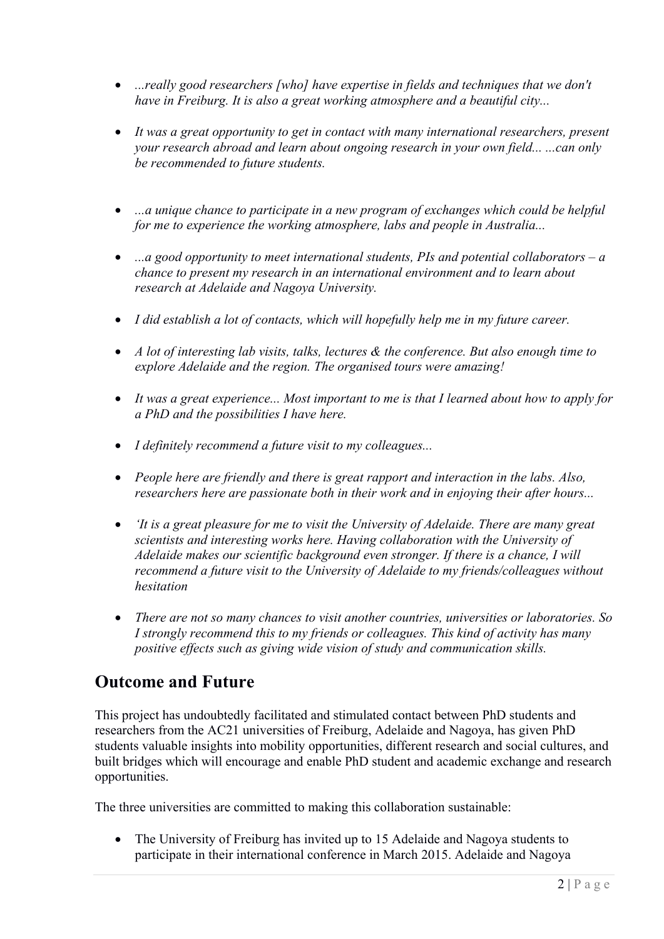- ...*really good researchers [who] have expertise in fields and techniques that we don't have in Freiburg. It is also a great working atmosphere and a beautiful city...*
- *It was a great opportunity to get in contact with many international researchers, present your research abroad and learn about ongoing research in your own field... ...can only be recommended to future students.*
- *...a unique chance to participate in a new program of exchanges which could be helpful for me to experience the working atmosphere, labs and people in Australia...*
- *...a good opportunity to meet international students, PIs and potential collaborators a chance to present my research in an international environment and to learn about research at Adelaide and Nagoya University.*
- *I did establish a lot of contacts, which will hopefully help me in my future career.*
- *A lot of interesting lab visits, talks, lectures & the conference. But also enough time to explore Adelaide and the region. The organised tours were amazing!*
- *It was a great experience... Most important to me is that I learned about how to apply for a PhD and the possibilities I have here.*
- *I definitely recommend a future visit to my colleagues...*
- *People here are friendly and there is great rapport and interaction in the labs. Also, researchers here are passionate both in their work and in enjoying their after hours...*
- *'It is a great pleasure for me to visit the University of Adelaide. There are many great scientists and interesting works here. Having collaboration with the University of Adelaide makes our scientific background even stronger. If there is a chance, I will recommend a future visit to the University of Adelaide to my friends/colleagues without hesitation*
- *There are not so many chances to visit another countries, universities or laboratories. So I strongly recommend this to my friends or colleagues. This kind of activity has many positive effects such as giving wide vision of study and communication skills.*

# **Outcome and Future**

This project has undoubtedly facilitated and stimulated contact between PhD students and researchers from the AC21 universities of Freiburg, Adelaide and Nagoya, has given PhD students valuable insights into mobility opportunities, different research and social cultures, and built bridges which will encourage and enable PhD student and academic exchange and research opportunities.

The three universities are committed to making this collaboration sustainable:

 The University of Freiburg has invited up to 15 Adelaide and Nagoya students to participate in their international conference in March 2015. Adelaide and Nagoya